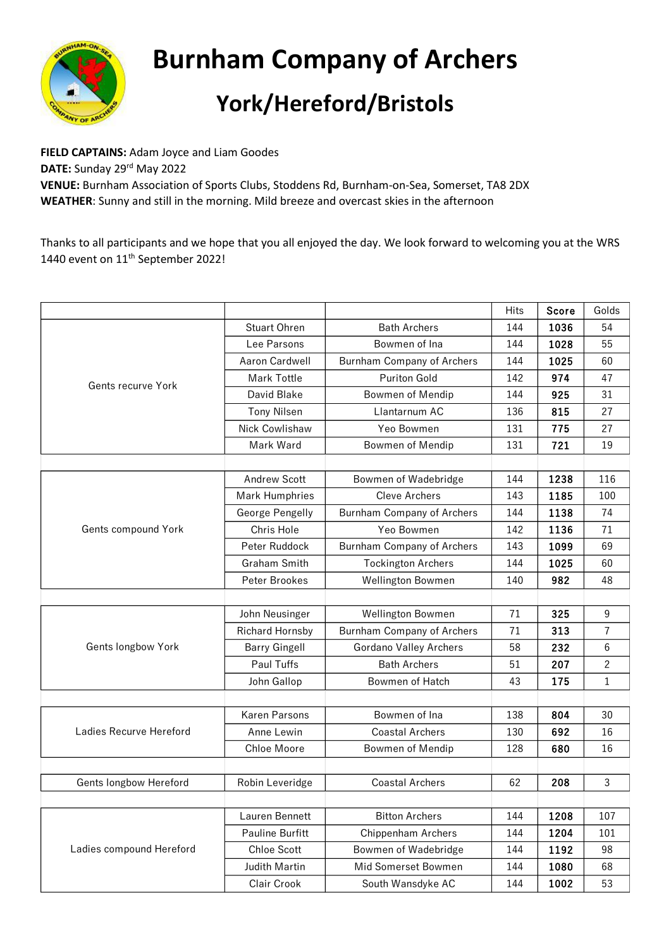

## **Burnham Company of Archers York/Hereford/Bristols**

**FIELD CAPTAINS:** Adam Joyce and Liam Goodes DATE: Sunday 29<sup>rd</sup> May 2022 **VENUE:** Burnham Association of Sports Clubs, Stoddens Rd, Burnham-on-Sea, Somerset, TA8 2DX **WEATHER**: Sunny and still in the morning. Mild breeze and overcast skies in the afternoon

Thanks to all participants and we hope that you all enjoyed the day. We look forward to welcoming you at the WRS 1440 event on 11<sup>th</sup> September 2022!

|                          |                      |                                   | <b>Hits</b> | Score | Golds          |
|--------------------------|----------------------|-----------------------------------|-------------|-------|----------------|
| Gents recurve York       | Stuart Ohren         | <b>Bath Archers</b>               | 144         | 1036  | 54             |
|                          | Lee Parsons          | Bowmen of Ina                     | 144         | 1028  | 55             |
|                          | Aaron Cardwell       | <b>Burnham Company of Archers</b> | 144         | 1025  | 60             |
|                          | Mark Tottle          | Puriton Gold                      | 142         | 974   | 47             |
|                          | David Blake          | Bowmen of Mendip                  | 144         | 925   | 31             |
|                          | <b>Tony Nilsen</b>   | Llantarnum AC                     | 136         | 815   | 27             |
|                          | Nick Cowlishaw       | Yeo Bowmen                        | 131         | 775   | 27             |
|                          | Mark Ward            | <b>Bowmen of Mendip</b>           | 131         | 721   | 19             |
|                          |                      |                                   |             |       |                |
| Gents compound York      | <b>Andrew Scott</b>  | Bowmen of Wadebridge              | 144         | 1238  | 116            |
|                          | Mark Humphries       | <b>Cleve Archers</b>              | 143         | 1185  | 100            |
|                          | George Pengelly      | <b>Burnham Company of Archers</b> | 144         | 1138  | 74             |
|                          | Chris Hole           | Yeo Bowmen                        | 142         | 1136  | 71             |
|                          | Peter Ruddock        | <b>Burnham Company of Archers</b> | 143         | 1099  | 69             |
|                          | Graham Smith         | <b>Tockington Archers</b>         | 144         | 1025  | 60             |
|                          | Peter Brookes        | <b>Wellington Bowmen</b>          | 140         | 982   | 48             |
|                          |                      |                                   |             |       |                |
| Gents longbow York       | John Neusinger       | <b>Wellington Bowmen</b>          | 71          | 325   | 9              |
|                          | Richard Hornsby      | <b>Burnham Company of Archers</b> | 71          | 313   | 7              |
|                          | <b>Barry Gingell</b> | Gordano Valley Archers            | 58          | 232   | 6              |
|                          | Paul Tuffs           | <b>Bath Archers</b>               | 51          | 207   | $\overline{c}$ |
|                          | John Gallop          | <b>Bowmen of Hatch</b>            | 43          | 175   | $\mathbf 1$    |
|                          |                      |                                   |             |       |                |
| Ladies Recurve Hereford  | <b>Karen Parsons</b> | Bowmen of Ina                     | 138         | 804   | 30             |
|                          | Anne Lewin           | <b>Coastal Archers</b>            | 130         | 692   | 16             |
|                          | <b>Chloe Moore</b>   | <b>Bowmen of Mendip</b>           | 128         | 680   | 16             |
|                          |                      |                                   |             |       |                |
| Gents longbow Hereford   | Robin Leveridge      | <b>Coastal Archers</b>            | 62          | 208   | 3              |
|                          |                      |                                   |             |       |                |
| Ladies compound Hereford | Lauren Bennett       | <b>Bitton Archers</b>             | 144         | 1208  | 107            |
|                          | Pauline Burfitt      | Chippenham Archers                | 144         | 1204  | 101            |
|                          | Chloe Scott          | Bowmen of Wadebridge              | 144         | 1192  | 98             |
|                          | Judith Martin        | Mid Somerset Bowmen               | 144         | 1080  | 68             |
|                          | Clair Crook          | South Wansdyke AC                 | 144         | 1002  | 53             |
|                          |                      |                                   |             |       |                |